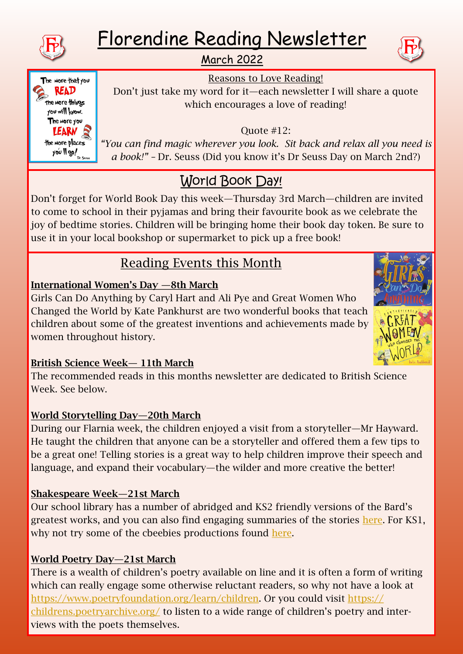

# Florendine Reading Newsletter

March 2022



The more that you **READ** the more things you will know. The More you LEARN R the more places  $y$ o'u || go!

Quote #12:

Reasons to Love Reading! Don't just take my word for it—each newsletter I will share a quote which encourages a love of reading!

*"You can find magic wherever you look. Sit back and relax all you need is a book!" –* Dr. Seuss (Did you know it's Dr Seuss Day on March 2nd?)

# World Book Day!

Don't forget for World Book Day this week—Thursday 3rd March—children are invited to come to school in their pyjamas and bring their favourite book as we celebrate the joy of bedtime stories. Children will be bringing home their book day token. Be sure to use it in your local bookshop or supermarket to pick up a free book!

# Reading Events this Month

## International Women's Day —8th March

Girls Can Do Anything by Caryl Hart and Ali Pye and Great Women Who Changed the World by Kate Pankhurst are two wonderful books that teach children about some of the greatest inventions and achievements made by women throughout history.



## British Science Week— 11th March

The recommended reads in this months newsletter are dedicated to British Science Week. See below.

## World Storytelling Day—20th March

During our Flarnia week, the children enjoyed a visit from a storyteller—Mr Hayward. He taught the children that anyone can be a storyteller and offered them a few tips to be a great one! Telling stories is a great way to help children improve their speech and language, and expand their vocabulary—the wilder and more creative the better!

## Shakespeare Week—21st March

Our school library has a number of abridged and KS2 friendly versions of the Bard's greatest works, and you can also find engaging summaries of the stories [here.](https://www.bbc.co.uk/teach/class-clips-video/english-ks2--ks3-shakespeare-in-shorts/zjyhrj6) For KS1, why not try some of the cbeebies productions found [here.](https://www.bbc.co.uk/iplayer/group/p03rjsf3)

## World Poetry Day—21st March

There is a wealth of children's poetry available on line and it is often a form of writing which can really engage some otherwise reluctant readers, so why not have a look at [https://www.poetryfoundation.org/learn/children.](https://www.poetryfoundation.org/learn/children) Or you could visit [https://](https://childrens.poetryarchive.org/) [childrens.poetryarchive.org/](https://childrens.poetryarchive.org/) to listen to a wide range of children's poetry and interviews with the poets themselves.